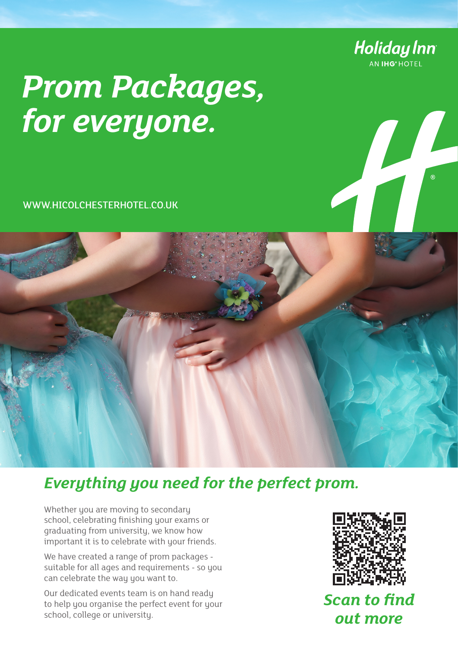

# *Prom Packages, for everyone.*

WWW.HICOLCHESTERHOTEL.CO.UK



## *Everything you need for the perfect prom.*

Whether you are moving to secondary school, celebrating finishing your exams or graduating from university, we know how important it is to celebrate with your friends.

We have created a range of prom packages suitable for all ages and requirements - so you can celebrate the way you want to.

Our dedicated events team is on hand ready to help you organise the perfect event for your school, college or university.



*Scan to find out more*